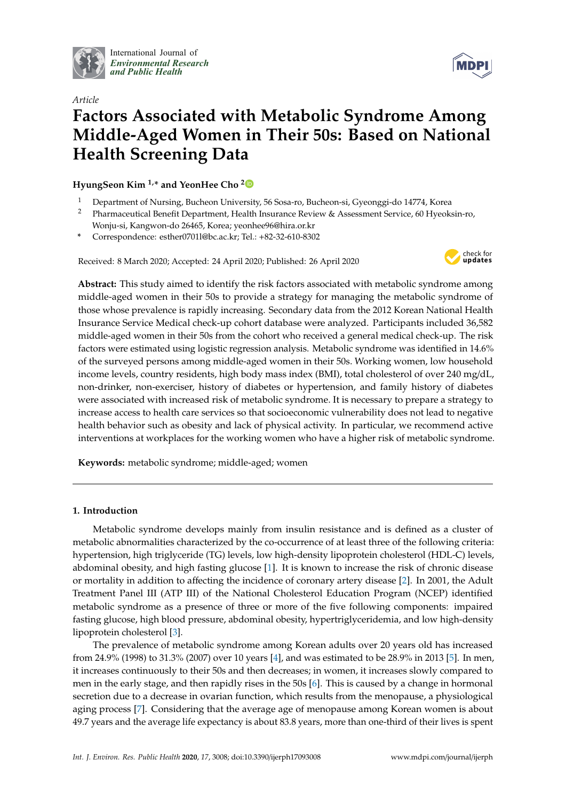

International Journal of *[Environmental Research](http://www.mdpi.com/journal/ijerph) and Public Health*



# *Article* **Factors Associated with Metabolic Syndrome Among Middle-Aged Women in Their 50s: Based on National Health Screening Data**

**HyungSeon Kim 1,\* and YeonHee Cho [2](https://orcid.org/0000-0001-9363-7374)**

- <sup>1</sup> Department of Nursing, Bucheon University, 56 Sosa-ro, Bucheon-si, Gyeonggi-do 14774, Korea
- <sup>2</sup> Pharmaceutical Benefit Department, Health Insurance Review & Assessment Service, 60 Hyeoksin-ro, Wonju-si, Kangwon-do 26465, Korea; yeonhee96@hira.or.kr
- **\*** Correspondence: esther0701l@bc.ac.kr; Tel.: +82-32-610-8302

Received: 8 March 2020; Accepted: 24 April 2020; Published: 26 April 2020



**Abstract:** This study aimed to identify the risk factors associated with metabolic syndrome among middle-aged women in their 50s to provide a strategy for managing the metabolic syndrome of those whose prevalence is rapidly increasing. Secondary data from the 2012 Korean National Health Insurance Service Medical check-up cohort database were analyzed. Participants included 36,582 middle-aged women in their 50s from the cohort who received a general medical check-up. The risk factors were estimated using logistic regression analysis. Metabolic syndrome was identified in 14.6% of the surveyed persons among middle-aged women in their 50s. Working women, low household income levels, country residents, high body mass index (BMI), total cholesterol of over 240 mg/dL, non-drinker, non-exerciser, history of diabetes or hypertension, and family history of diabetes were associated with increased risk of metabolic syndrome. It is necessary to prepare a strategy to increase access to health care services so that socioeconomic vulnerability does not lead to negative health behavior such as obesity and lack of physical activity. In particular, we recommend active interventions at workplaces for the working women who have a higher risk of metabolic syndrome.

**Keywords:** metabolic syndrome; middle-aged; women

# **1. Introduction**

Metabolic syndrome develops mainly from insulin resistance and is defined as a cluster of metabolic abnormalities characterized by the co-occurrence of at least three of the following criteria: hypertension, high triglyceride (TG) levels, low high-density lipoprotein cholesterol (HDL-C) levels, abdominal obesity, and high fasting glucose [\[1\]](#page-10-0). It is known to increase the risk of chronic disease or mortality in addition to affecting the incidence of coronary artery disease [\[2\]](#page-10-1). In 2001, the Adult Treatment Panel III (ATP III) of the National Cholesterol Education Program (NCEP) identified metabolic syndrome as a presence of three or more of the five following components: impaired fasting glucose, high blood pressure, abdominal obesity, hypertriglyceridemia, and low high-density lipoprotein cholesterol [\[3\]](#page-10-2).

The prevalence of metabolic syndrome among Korean adults over 20 years old has increased from 24.9% (1998) to 31.3% (2007) over 10 years [\[4\]](#page-10-3), and was estimated to be 28.9% in 2013 [\[5\]](#page-10-4). In men, it increases continuously to their 50s and then decreases; in women, it increases slowly compared to men in the early stage, and then rapidly rises in the 50s [\[6\]](#page-10-5). This is caused by a change in hormonal secretion due to a decrease in ovarian function, which results from the menopause, a physiological aging process [\[7\]](#page-10-6). Considering that the average age of menopause among Korean women is about 49.7 years and the average life expectancy is about 83.8 years, more than one-third of their lives is spent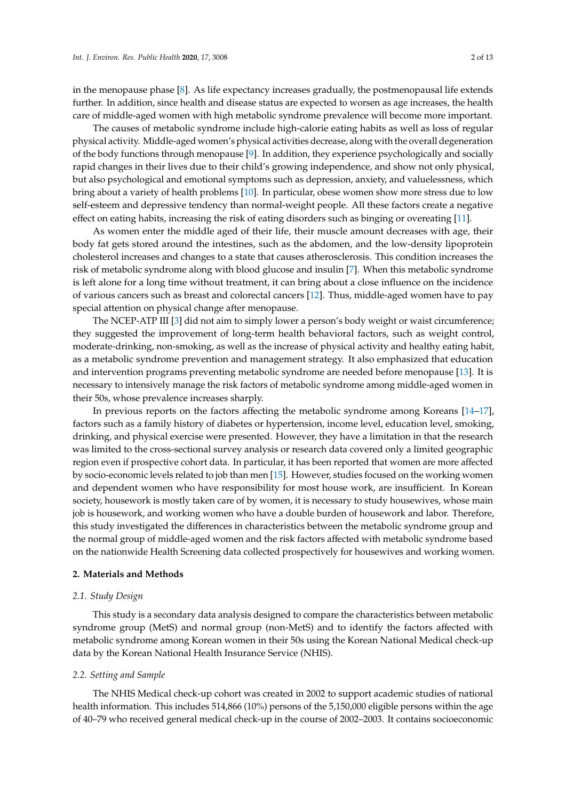in the menopause phase [\[8\]](#page-10-7). As life expectancy increases gradually, the postmenopausal life extends further. In addition, since health and disease status are expected to worsen as age increases, the health care of middle-aged women with high metabolic syndrome prevalence will become more important.

The causes of metabolic syndrome include high-calorie eating habits as well as loss of regular physical activity. Middle-aged women's physical activities decrease, along with the overall degeneration of the body functions through menopause [\[9\]](#page-11-0). In addition, they experience psychologically and socially rapid changes in their lives due to their child's growing independence, and show not only physical, but also psychological and emotional symptoms such as depression, anxiety, and valuelessness, which bring about a variety of health problems [\[10\]](#page-11-1). In particular, obese women show more stress due to low self-esteem and depressive tendency than normal-weight people. All these factors create a negative effect on eating habits, increasing the risk of eating disorders such as binging or overeating [\[11\]](#page-11-2).

As women enter the middle aged of their life, their muscle amount decreases with age, their body fat gets stored around the intestines, such as the abdomen, and the low-density lipoprotein cholesterol increases and changes to a state that causes atherosclerosis. This condition increases the risk of metabolic syndrome along with blood glucose and insulin [\[7\]](#page-10-6). When this metabolic syndrome is left alone for a long time without treatment, it can bring about a close influence on the incidence of various cancers such as breast and colorectal cancers [\[12\]](#page-11-3). Thus, middle-aged women have to pay special attention on physical change after menopause.

The NCEP-ATP III [\[3\]](#page-10-2) did not aim to simply lower a person's body weight or waist circumference; they suggested the improvement of long-term health behavioral factors, such as weight control, moderate-drinking, non-smoking, as well as the increase of physical activity and healthy eating habit, as a metabolic syndrome prevention and management strategy. It also emphasized that education and intervention programs preventing metabolic syndrome are needed before menopause [\[13\]](#page-11-4). It is necessary to intensively manage the risk factors of metabolic syndrome among middle-aged women in their 50s, whose prevalence increases sharply.

In previous reports on the factors affecting the metabolic syndrome among Koreans [\[14](#page-11-5)[–17\]](#page-11-6), factors such as a family history of diabetes or hypertension, income level, education level, smoking, drinking, and physical exercise were presented. However, they have a limitation in that the research was limited to the cross-sectional survey analysis or research data covered only a limited geographic region even if prospective cohort data. In particular, it has been reported that women are more affected by socio-economic levels related to job than men [\[15\]](#page-11-7). However, studies focused on the working women and dependent women who have responsibility for most house work, are insufficient. In Korean society, housework is mostly taken care of by women, it is necessary to study housewives, whose main job is housework, and working women who have a double burden of housework and labor. Therefore, this study investigated the differences in characteristics between the metabolic syndrome group and the normal group of middle-aged women and the risk factors affected with metabolic syndrome based on the nationwide Health Screening data collected prospectively for housewives and working women.

# **2. Materials and Methods**

# *2.1. Study Design*

This study is a secondary data analysis designed to compare the characteristics between metabolic syndrome group (MetS) and normal group (non-MetS) and to identify the factors affected with metabolic syndrome among Korean women in their 50s using the Korean National Medical check-up data by the Korean National Health Insurance Service (NHIS).

# *2.2. Setting and Sample*

The NHIS Medical check-up cohort was created in 2002 to support academic studies of national health information. This includes 514,866 (10%) persons of the 5,150,000 eligible persons within the age of 40–79 who received general medical check-up in the course of 2002–2003. It contains socioeconomic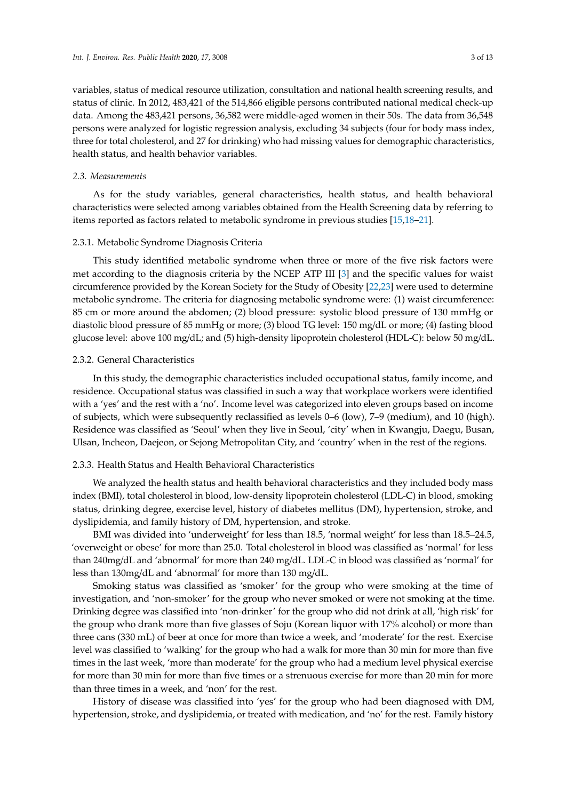variables, status of medical resource utilization, consultation and national health screening results, and status of clinic. In 2012, 483,421 of the 514,866 eligible persons contributed national medical check-up data. Among the 483,421 persons, 36,582 were middle-aged women in their 50s. The data from 36,548 persons were analyzed for logistic regression analysis, excluding 34 subjects (four for body mass index, three for total cholesterol, and 27 for drinking) who had missing values for demographic characteristics, health status, and health behavior variables.

# *2.3. Measurements*

As for the study variables, general characteristics, health status, and health behavioral characteristics were selected among variables obtained from the Health Screening data by referring to items reported as factors related to metabolic syndrome in previous studies [\[15](#page-11-7)[,18–](#page-11-8)[21\]](#page-11-9).

# 2.3.1. Metabolic Syndrome Diagnosis Criteria

This study identified metabolic syndrome when three or more of the five risk factors were met according to the diagnosis criteria by the NCEP ATP III [\[3\]](#page-10-2) and the specific values for waist circumference provided by the Korean Society for the Study of Obesity [\[22](#page-11-10)[,23\]](#page-11-11) were used to determine metabolic syndrome. The criteria for diagnosing metabolic syndrome were: (1) waist circumference: 85 cm or more around the abdomen; (2) blood pressure: systolic blood pressure of 130 mmHg or diastolic blood pressure of 85 mmHg or more; (3) blood TG level: 150 mg/dL or more; (4) fasting blood glucose level: above 100 mg/dL; and (5) high-density lipoprotein cholesterol (HDL-C): below 50 mg/dL.

# 2.3.2. General Characteristics

In this study, the demographic characteristics included occupational status, family income, and residence. Occupational status was classified in such a way that workplace workers were identified with a 'yes' and the rest with a 'no'. Income level was categorized into eleven groups based on income of subjects, which were subsequently reclassified as levels 0–6 (low), 7–9 (medium), and 10 (high). Residence was classified as 'Seoul' when they live in Seoul, 'city' when in Kwangju, Daegu, Busan, Ulsan, Incheon, Daejeon, or Sejong Metropolitan City, and 'country' when in the rest of the regions.

## 2.3.3. Health Status and Health Behavioral Characteristics

We analyzed the health status and health behavioral characteristics and they included body mass index (BMI), total cholesterol in blood, low-density lipoprotein cholesterol (LDL-C) in blood, smoking status, drinking degree, exercise level, history of diabetes mellitus (DM), hypertension, stroke, and dyslipidemia, and family history of DM, hypertension, and stroke.

BMI was divided into 'underweight' for less than 18.5, 'normal weight' for less than 18.5–24.5, 'overweight or obese' for more than 25.0. Total cholesterol in blood was classified as 'normal' for less than 240mg/dL and 'abnormal' for more than 240 mg/dL. LDL-C in blood was classified as 'normal' for less than 130mg/dL and 'abnormal' for more than 130 mg/dL.

Smoking status was classified as 'smoker' for the group who were smoking at the time of investigation, and 'non-smoker' for the group who never smoked or were not smoking at the time. Drinking degree was classified into 'non-drinker' for the group who did not drink at all, 'high risk' for the group who drank more than five glasses of Soju (Korean liquor with 17% alcohol) or more than three cans (330 mL) of beer at once for more than twice a week, and 'moderate' for the rest. Exercise level was classified to 'walking' for the group who had a walk for more than 30 min for more than five times in the last week, 'more than moderate' for the group who had a medium level physical exercise for more than 30 min for more than five times or a strenuous exercise for more than 20 min for more than three times in a week, and 'non' for the rest.

History of disease was classified into 'yes' for the group who had been diagnosed with DM, hypertension, stroke, and dyslipidemia, or treated with medication, and 'no' for the rest. Family history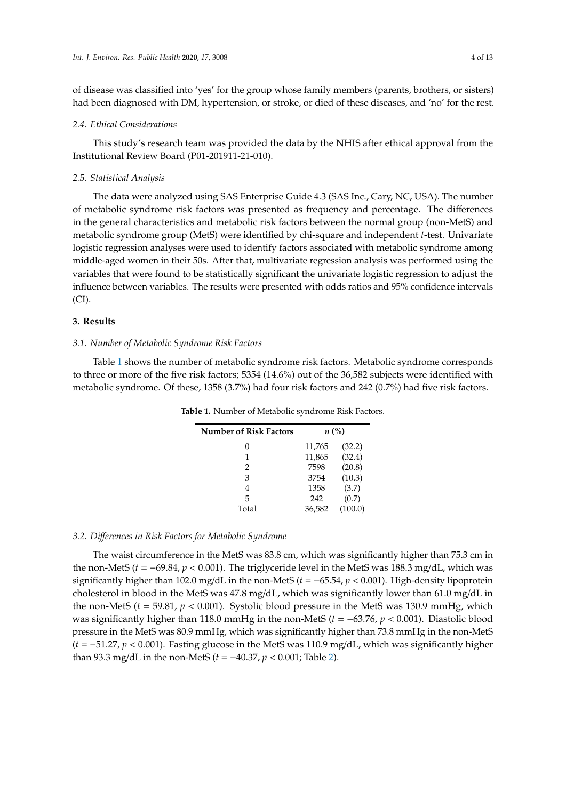of disease was classified into 'yes' for the group whose family members (parents, brothers, or sisters) had been diagnosed with DM, hypertension, or stroke, or died of these diseases, and 'no' for the rest.

#### *2.4. Ethical Considerations*

This study's research team was provided the data by the NHIS after ethical approval from the Institutional Review Board (P01-201911-21-010).

# *2.5. Statistical Analysis*

The data were analyzed using SAS Enterprise Guide 4.3 (SAS Inc., Cary, NC, USA). The number of metabolic syndrome risk factors was presented as frequency and percentage. The differences in the general characteristics and metabolic risk factors between the normal group (non-MetS) and metabolic syndrome group (MetS) were identified by chi-square and independent *t*-test. Univariate logistic regression analyses were used to identify factors associated with metabolic syndrome among middle-aged women in their 50s. After that, multivariate regression analysis was performed using the variables that were found to be statistically significant the univariate logistic regression to adjust the influence between variables. The results were presented with odds ratios and 95% confidence intervals (CI).

# **3. Results**

# *3.1. Number of Metabolic Syndrome Risk Factors*

<span id="page-3-0"></span>Table [1](#page-3-0) shows the number of metabolic syndrome risk factors. Metabolic syndrome corresponds to three or more of the five risk factors; 5354 (14.6%) out of the 36,582 subjects were identified with metabolic syndrome. Of these, 1358 (3.7%) had four risk factors and 242 (0.7%) had five risk factors.

| <b>Number of Risk Factors</b> |        | $n\ (\%)$ |
|-------------------------------|--------|-----------|
|                               | 11,765 | (32.2)    |
| 1                             | 11,865 | (32.4)    |
| $\mathcal{L}$                 | 7598   | (20.8)    |
| 3                             | 3754   | (10.3)    |
|                               | 1358   | (3.7)     |
| 5                             | 242    | (0.7)     |
| Total                         | 36,582 | (100.0)   |

**Table 1.** Number of Metabolic syndrome Risk Factors.

# *3.2. Di*ff*erences in Risk Factors for Metabolic Syndrome*

The waist circumference in the MetS was 83.8 cm, which was significantly higher than 75.3 cm in the non-MetS  $(t = -69.84, p < 0.001)$ . The triglyceride level in the MetS was 188.3 mg/dL, which was significantly higher than 102.0 mg/dL in the non-MetS (*t* = −65.54, *p* < 0.001). High-density lipoprotein cholesterol in blood in the MetS was 47.8 mg/dL, which was significantly lower than 61.0 mg/dL in the non-MetS (*t* = 59.81, *p* < 0.001). Systolic blood pressure in the MetS was 130.9 mmHg, which was significantly higher than 118.0 mmHg in the non-MetS (*t* = −63.76, *p* < 0.001). Diastolic blood pressure in the MetS was 80.9 mmHg, which was significantly higher than 73.8 mmHg in the non-MetS (*t* = −51.27, *p* < 0.001). Fasting glucose in the MetS was 110.9 mg/dL, which was significantly higher than 93.3 mg/dL in the non-MetS (*t* = −40.37, *p* < 0.001; Table [2\)](#page-4-0).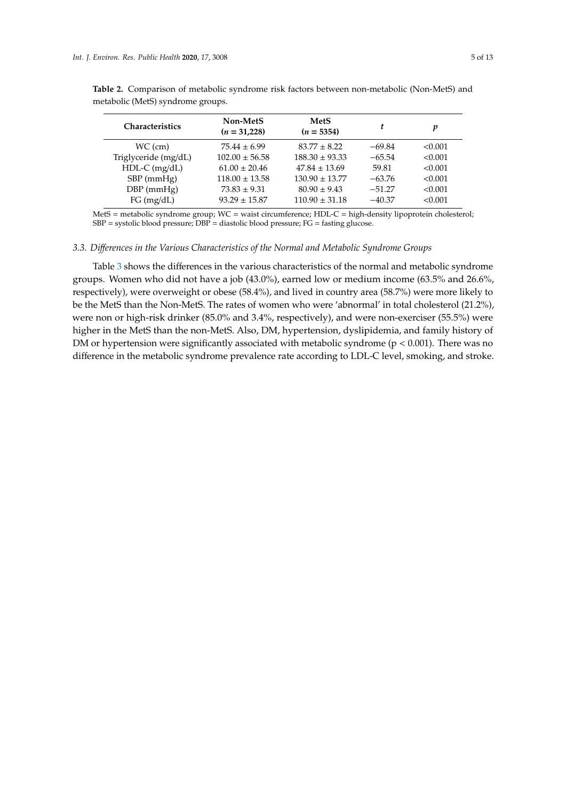| Non-MetS<br>$(n = 31,228)$ | MetS<br>$(n = 5354)$ | t        | p       |
|----------------------------|----------------------|----------|---------|
| $75.44 \pm 6.99$           | $83.77 \pm 8.22$     | $-69.84$ | < 0.001 |
| $102.00 \pm 56.58$         | $188.30 \pm 93.33$   | $-65.54$ | < 0.001 |
| $61.00 \pm 20.46$          | $47.84 \pm 13.69$    | 59.81    | < 0.001 |
| $118.00 \pm 13.58$         | $130.90 \pm 13.77$   | $-63.76$ | < 0.001 |
| $73.83 \pm 9.31$           | $80.90 \pm 9.43$     | $-51.27$ | < 0.001 |
| $93.29 \pm 15.87$          | $110.90 \pm 31.18$   | $-40.37$ | < 0.001 |
|                            |                      |          |         |

<span id="page-4-0"></span>**Table 2.** Comparison of metabolic syndrome risk factors between non-metabolic (Non-MetS) and metabolic (MetS) syndrome groups.

MetS = metabolic syndrome group; WC = waist circumference; HDL-C = high-density lipoprotein cholesterol;  $SBP = systolic blood pressure; DBP = diastolic blood pressure; FG = fasting glucose.$ 

# *3.3. Di*ff*erences in the Various Characteristics of the Normal and Metabolic Syndrome Groups*

Table [3](#page-6-0) shows the differences in the various characteristics of the normal and metabolic syndrome groups. Women who did not have a job (43.0%), earned low or medium income (63.5% and 26.6%, respectively), were overweight or obese (58.4%), and lived in country area (58.7%) were more likely to be the MetS than the Non-MetS. The rates of women who were 'abnormal' in total cholesterol (21.2%), were non or high-risk drinker (85.0% and 3.4%, respectively), and were non-exerciser (55.5%) were higher in the MetS than the non-MetS. Also, DM, hypertension, dyslipidemia, and family history of DM or hypertension were significantly associated with metabolic syndrome ( $p < 0.001$ ). There was no difference in the metabolic syndrome prevalence rate according to LDL-C level, smoking, and stroke.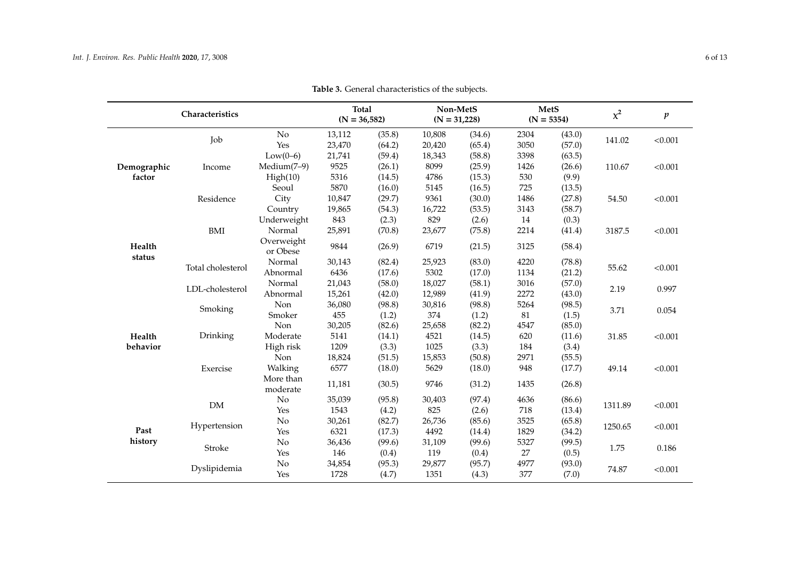|             | Characteristics   |                        | <b>Total</b><br>$(N = 36,582)$ |        | $(N = 31,228)$ | Non-MetS |        | <b>MetS</b><br>$(N = 5354)$ | $x^2$   | $\pmb{p}$ |
|-------------|-------------------|------------------------|--------------------------------|--------|----------------|----------|--------|-----------------------------|---------|-----------|
|             | Job               | No                     | 13,112                         | (35.8) | 10,808         | (34.6)   | 2304   | (43.0)                      | 141.02  | < 0.001   |
|             |                   | Yes                    | 23,470                         | (64.2) | 20,420         | (65.4)   | 3050   | (57.0)                      |         |           |
|             |                   | $Low(0-6)$             | 21,741                         | (59.4) | 18,343         | (58.8)   | 3398   | (63.5)                      |         |           |
| Demographic | Income            | Medium(7-9)            | 9525                           | (26.1) | 8099           | (25.9)   | 1426   | (26.6)                      | 110.67  | < 0.001   |
| factor      |                   | High(10)               | 5316                           | (14.5) | 4786           | (15.3)   | 530    | (9.9)                       |         |           |
|             |                   | Seoul                  | 5870                           | (16.0) | 5145           | (16.5)   | 725    | (13.5)                      |         |           |
|             | Residence         | City                   | 10,847                         | (29.7) | 9361           | (30.0)   | 1486   | (27.8)                      | 54.50   | < 0.001   |
|             |                   | Country                | 19,865                         | (54.3) | 16,722         | (53.5)   | 3143   | (58.7)                      |         |           |
|             |                   | Underweight            | 843                            | (2.3)  | 829            | (2.6)    | 14     | (0.3)                       |         |           |
|             | BMI               | Normal                 | 25,891                         | (70.8) | 23,677         | (75.8)   | 2214   | (41.4)                      | 3187.5  | < 0.001   |
| Health      |                   | Overweight<br>or Obese | 9844                           | (26.9) | 6719           | (21.5)   | 3125   | (58.4)                      |         |           |
| status      | Total cholesterol | Normal                 | 30,143                         | (82.4) | 25,923         | (83.0)   | 4220   | (78.8)                      | 55.62   | < 0.001   |
|             |                   | Abnormal               | 6436                           | (17.6) | 5302           | (17.0)   | 1134   | (21.2)                      |         |           |
|             |                   | Normal                 | 21,043                         | (58.0) | 18,027         | (58.1)   | 3016   | (57.0)                      | 2.19    | 0.997     |
|             | LDL-cholesterol   | Abnormal               | 15,261                         | (42.0) | 12,989         | (41.9)   | 2272   | (43.0)                      |         |           |
|             | Smoking           | Non                    | 36,080                         | (98.8) | 30,816         | (98.8)   | 5264   | (98.5)                      | 3.71    |           |
|             |                   | Smoker                 | 455                            | (1.2)  | 374            | (1.2)    | $81\,$ | (1.5)                       |         | 0.054     |
|             | Drinking          | Non                    | 30,205                         | (82.6) | 25,658         | (82.2)   | 4547   | (85.0)                      |         |           |
| Health      |                   | Moderate               | 5141                           | (14.1) | 4521           | (14.5)   | 620    | (11.6)                      | 31.85   | < 0.001   |
| behavior    |                   | High risk              | 1209                           | (3.3)  | 1025           | (3.3)    | 184    | (3.4)                       |         |           |
|             |                   | Non                    | 18,824                         | (51.5) | 15,853         | (50.8)   | 2971   | (55.5)                      |         |           |
|             | Exercise          | Walking                | 6577                           | (18.0) | 5629           | (18.0)   | 948    | (17.7)                      | 49.14   | < 0.001   |
|             |                   | More than<br>moderate  | 11,181                         | (30.5) | 9746           | (31.2)   | 1435   | (26.8)                      |         |           |
|             | ${\rm DM}$        | No                     | 35,039                         | (95.8) | 30,403         | (97.4)   | 4636   | (86.6)                      | 1311.89 |           |
|             |                   | Yes                    | 1543                           | (4.2)  | 825            | (2.6)    | 718    | (13.4)                      |         | < 0.001   |
|             |                   | No                     | 30,261                         | (82.7) | 26,736         | (85.6)   | 3525   | (65.8)                      |         |           |
| Past        | Hypertension      | Yes                    | 6321                           | (17.3) | 4492           | (14.4)   | 1829   | (34.2)                      | 1250.65 | < 0.001   |
| history     |                   | No                     | 36,436                         | (99.6) | 31,109         | (99.6)   | 5327   | (99.5)                      | 1.75    |           |
|             | Stroke            | Yes                    | 146                            | (0.4)  | 119            | (0.4)    | 27     | (0.5)                       |         | 0.186     |
|             |                   | No                     | 34,854                         | (95.3) | 29,877         | (95.7)   | 4977   | (93.0)                      | 74.87   |           |
|             | Dyslipidemia      | Yes                    | 1728                           | (4.7)  | 1351           | (4.3)    | 377    | (7.0)                       |         | < 0.001   |

**Table 3.** General characteristics of the subjects.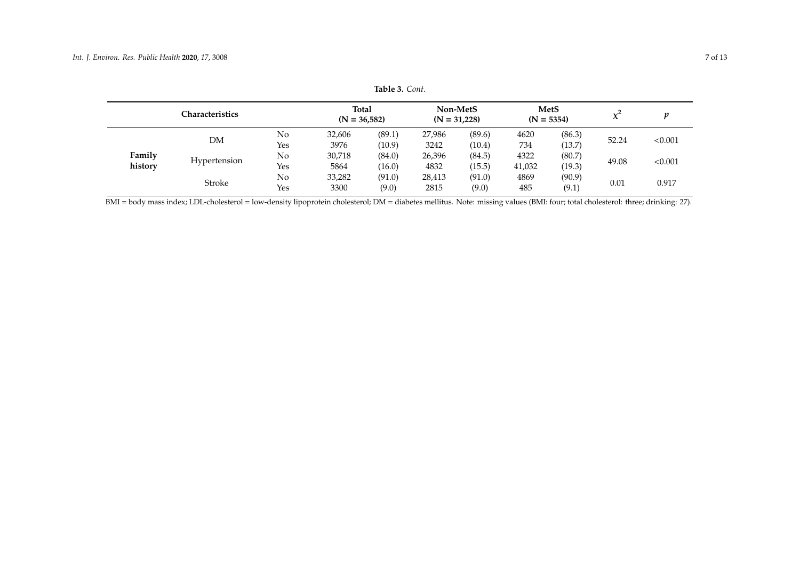|         | <b>Characteristics</b> |        | Total<br>$(N = 36.582)$ |        | Non-MetS<br>$(N = 31.228)$ |        | $(N = 5354)$ | <b>MetS</b> |         |       |
|---------|------------------------|--------|-------------------------|--------|----------------------------|--------|--------------|-------------|---------|-------|
| DΜ      | No                     | 32,606 | (89.1)                  | 27,986 | (89.6)                     | 4620   | (86.3)       | 52.24       | < 0.001 |       |
|         | Yes                    | 3976   | (10.9)                  | 3242   | (10.4)                     | 734    | (13.7)       |             |         |       |
| Family  | Hypertension           | No     | 30,718                  | (84.0) | 26,396                     | (84.5) | 4322         | (80.7)      |         |       |
| history | Yes                    | 5864   | (16.0)                  | 4832   | (15.5)                     | 41,032 | (19.3)       | 49.08       | < 0.001 |       |
|         |                        | No     | 33,282                  | (91.0) | 28,413                     | (91.0) | 4869         | (90.9)      |         |       |
| Stroke  |                        | Yes    | 3300                    | (9.0)  | 2815                       | (9.0)  | 485          | (9.1)       | 0.01    | 0.917 |

**Table 3.** *Cont*.

<span id="page-6-0"></span>BMI = body mass index; LDL-cholesterol = low-density lipoprotein cholesterol; DM = diabetes mellitus. Note: missing values (BMI: four; total cholesterol: three; drinking: 27).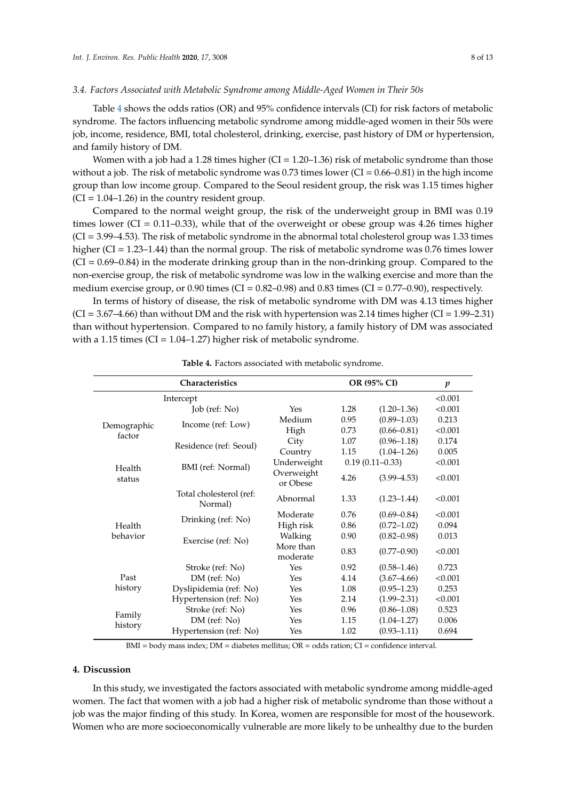# *3.4. Factors Associated with Metabolic Syndrome among Middle-Aged Women in Their 50s*

Table [4](#page-7-0) shows the odds ratios (OR) and 95% confidence intervals (CI) for risk factors of metabolic syndrome. The factors influencing metabolic syndrome among middle-aged women in their 50s were job, income, residence, BMI, total cholesterol, drinking, exercise, past history of DM or hypertension, and family history of DM.

Women with a job had a 1.28 times higher  $(CI = 1.20-1.36)$  risk of metabolic syndrome than those without a job. The risk of metabolic syndrome was  $0.73$  times lower (CI =  $0.66-0.81$ ) in the high income group than low income group. Compared to the Seoul resident group, the risk was 1.15 times higher  $(CI = 1.04–1.26)$  in the country resident group.

Compared to the normal weight group, the risk of the underweight group in BMI was 0.19 times lower (CI =  $0.11$ – $0.33$ ), while that of the overweight or obese group was 4.26 times higher (CI = 3.99–4.53). The risk of metabolic syndrome in the abnormal total cholesterol group was 1.33 times higher (CI = 1.23–1.44) than the normal group. The risk of metabolic syndrome was 0.76 times lower  $(CI = 0.69 - 0.84)$  in the moderate drinking group than in the non-drinking group. Compared to the non-exercise group, the risk of metabolic syndrome was low in the walking exercise and more than the medium exercise group, or 0.90 times (CI =  $0.82$ –0.98) and 0.83 times (CI =  $0.77$ –0.90), respectively.

In terms of history of disease, the risk of metabolic syndrome with DM was 4.13 times higher  $(CI = 3.67–4.66)$  than without DM and the risk with hypertension was 2.14 times higher  $(CI = 1.99–2.31)$ than without hypertension. Compared to no family history, a family history of DM was associated with a 1.15 times (CI = 1.04–1.27) higher risk of metabolic syndrome.

<span id="page-7-0"></span>

|                       | Characteristics                    |                        |                     | OR (95% CI)     | $\boldsymbol{p}$ |
|-----------------------|------------------------------------|------------------------|---------------------|-----------------|------------------|
|                       | Intercept                          |                        |                     |                 | < 0.001          |
|                       | Job (ref: No)                      | Yes                    | 1.28                | $(1.20 - 1.36)$ | < 0.001          |
|                       | Income (ref: Low)                  | Medium                 | 0.95                | $(0.89 - 1.03)$ | 0.213            |
| Demographic<br>factor |                                    | High                   | 0.73                | $(0.66 - 0.81)$ | < 0.001          |
|                       | Residence (ref: Seoul)             | City                   | 1.07                | $(0.96 - 1.18)$ | 0.174            |
|                       |                                    | Country                | 1.15                | $(1.04 - 1.26)$ | 0.005            |
| Health                | BMI (ref: Normal)                  | Underweight            | $0.19(0.11 - 0.33)$ |                 | < 0.001          |
| status                |                                    | Overweight<br>or Obese | 4.26                | $(3.99 - 4.53)$ | < 0.001          |
|                       | Total cholesterol (ref:<br>Normal) | Abnormal               | 1.33                | $(1.23 - 1.44)$ | < 0.001          |
| Health                | Drinking (ref: No)                 | Moderate               | 0.76                | $(0.69 - 0.84)$ | < 0.001          |
|                       |                                    | High risk              | 0.86                | $(0.72 - 1.02)$ | 0.094            |
| behavior              | Exercise (ref: No)                 | Walking                | 0.90                | $(0.82 - 0.98)$ | 0.013            |
|                       |                                    | More than<br>moderate  | 0.83                | $(0.77 - 0.90)$ | < 0.001          |
|                       | Stroke (ref: No)                   | Yes                    | 0.92                | $(0.58 - 1.46)$ | 0.723            |
| Past                  | DM (ref: No)                       | Yes                    | 4.14                | $(3.67 - 4.66)$ | < 0.001          |
| history               | Dyslipidemia (ref: No)             | Yes                    | 1.08                | $(0.95 - 1.23)$ | 0.253            |
|                       | Hypertension (ref: No)             | Yes                    | 2.14                | $(1.99 - 2.31)$ | < 0.001          |
| Family                | Stroke (ref: No)                   | Yes                    | 0.96                | $(0.86 - 1.08)$ | 0.523            |
| history               | $DM$ (ref: $No)$                   |                        | 1.15                | $(1.04 - 1.27)$ | 0.006            |
|                       | Hypertension (ref: No)             | Yes                    | 1.02                | $(0.93 - 1.11)$ | 0.694            |

| <b>Table 4.</b> Factors associated with metabolic syndrome. |
|-------------------------------------------------------------|
|-------------------------------------------------------------|

BMI = body mass index; DM = diabetes mellitus; OR = odds ration; CI = confidence interval.

# **4. Discussion**

In this study, we investigated the factors associated with metabolic syndrome among middle-aged women. The fact that women with a job had a higher risk of metabolic syndrome than those without a job was the major finding of this study. In Korea, women are responsible for most of the housework. Women who are more socioeconomically vulnerable are more likely to be unhealthy due to the burden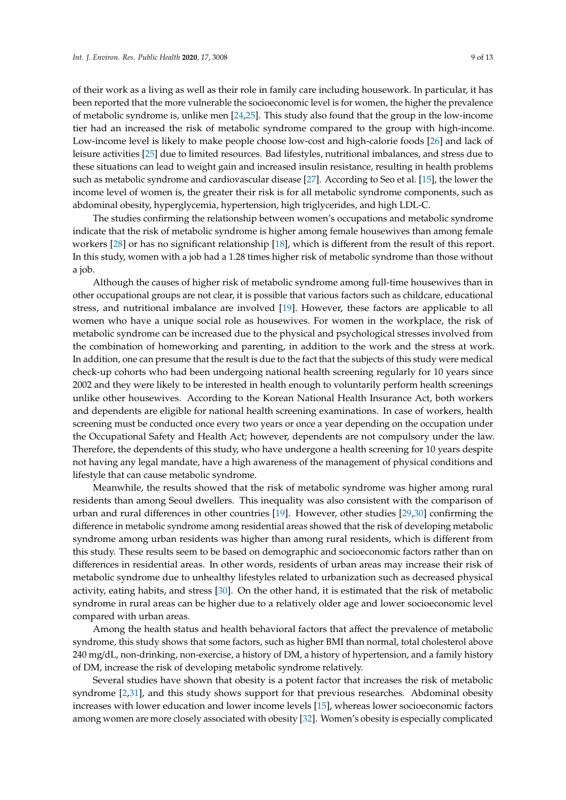of their work as a living as well as their role in family care including housework. In particular, it has been reported that the more vulnerable the socioeconomic level is for women, the higher the prevalence of metabolic syndrome is, unlike men [\[24,](#page-11-12)[25\]](#page-11-13). This study also found that the group in the low-income tier had an increased the risk of metabolic syndrome compared to the group with high-income. Low-income level is likely to make people choose low-cost and high-calorie foods [\[26\]](#page-11-14) and lack of leisure activities [\[25\]](#page-11-13) due to limited resources. Bad lifestyles, nutritional imbalances, and stress due to these situations can lead to weight gain and increased insulin resistance, resulting in health problems such as metabolic syndrome and cardiovascular disease [\[27\]](#page-11-15). According to Seo et al. [\[15\]](#page-11-7), the lower the income level of women is, the greater their risk is for all metabolic syndrome components, such as abdominal obesity, hyperglycemia, hypertension, high triglycerides, and high LDL-C.

The studies confirming the relationship between women's occupations and metabolic syndrome indicate that the risk of metabolic syndrome is higher among female housewives than among female workers [\[28\]](#page-11-16) or has no significant relationship [\[18\]](#page-11-8), which is different from the result of this report. In this study, women with a job had a 1.28 times higher risk of metabolic syndrome than those without a job.

Although the causes of higher risk of metabolic syndrome among full-time housewives than in other occupational groups are not clear, it is possible that various factors such as childcare, educational stress, and nutritional imbalance are involved [\[19\]](#page-11-17). However, these factors are applicable to all women who have a unique social role as housewives. For women in the workplace, the risk of metabolic syndrome can be increased due to the physical and psychological stresses involved from the combination of homeworking and parenting, in addition to the work and the stress at work. In addition, one can presume that the result is due to the fact that the subjects of this study were medical check-up cohorts who had been undergoing national health screening regularly for 10 years since 2002 and they were likely to be interested in health enough to voluntarily perform health screenings unlike other housewives. According to the Korean National Health Insurance Act, both workers and dependents are eligible for national health screening examinations. In case of workers, health screening must be conducted once every two years or once a year depending on the occupation under the Occupational Safety and Health Act; however, dependents are not compulsory under the law. Therefore, the dependents of this study, who have undergone a health screening for 10 years despite not having any legal mandate, have a high awareness of the management of physical conditions and lifestyle that can cause metabolic syndrome.

Meanwhile, the results showed that the risk of metabolic syndrome was higher among rural residents than among Seoul dwellers. This inequality was also consistent with the comparison of urban and rural differences in other countries [\[19\]](#page-11-17). However, other studies [\[29,](#page-11-18)[30\]](#page-11-19) confirming the difference in metabolic syndrome among residential areas showed that the risk of developing metabolic syndrome among urban residents was higher than among rural residents, which is different from this study. These results seem to be based on demographic and socioeconomic factors rather than on differences in residential areas. In other words, residents of urban areas may increase their risk of metabolic syndrome due to unhealthy lifestyles related to urbanization such as decreased physical activity, eating habits, and stress [\[30\]](#page-11-19). On the other hand, it is estimated that the risk of metabolic syndrome in rural areas can be higher due to a relatively older age and lower socioeconomic level compared with urban areas.

Among the health status and health behavioral factors that affect the prevalence of metabolic syndrome, this study shows that some factors, such as higher BMI than normal, total cholesterol above 240 mg/dL, non-drinking, non-exercise, a history of DM, a history of hypertension, and a family history of DM, increase the risk of developing metabolic syndrome relatively.

Several studies have shown that obesity is a potent factor that increases the risk of metabolic syndrome [\[2,](#page-10-1)[31\]](#page-12-0), and this study shows support for that previous researches. Abdominal obesity increases with lower education and lower income levels [\[15\]](#page-11-7), whereas lower socioeconomic factors among women are more closely associated with obesity [\[32\]](#page-12-1). Women's obesity is especially complicated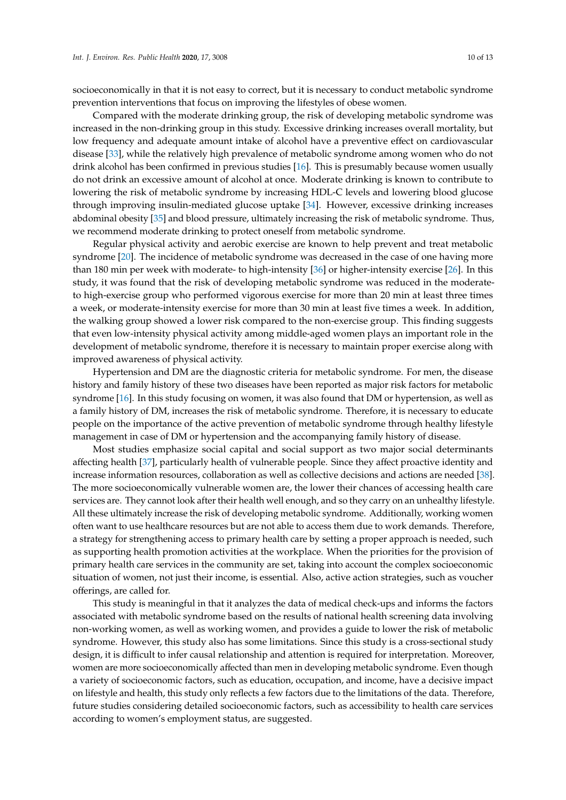socioeconomically in that it is not easy to correct, but it is necessary to conduct metabolic syndrome prevention interventions that focus on improving the lifestyles of obese women.

Compared with the moderate drinking group, the risk of developing metabolic syndrome was increased in the non-drinking group in this study. Excessive drinking increases overall mortality, but low frequency and adequate amount intake of alcohol have a preventive effect on cardiovascular disease [\[33\]](#page-12-2), while the relatively high prevalence of metabolic syndrome among women who do not drink alcohol has been confirmed in previous studies [\[16\]](#page-11-20). This is presumably because women usually do not drink an excessive amount of alcohol at once. Moderate drinking is known to contribute to lowering the risk of metabolic syndrome by increasing HDL-C levels and lowering blood glucose through improving insulin-mediated glucose uptake [\[34\]](#page-12-3). However, excessive drinking increases abdominal obesity [\[35\]](#page-12-4) and blood pressure, ultimately increasing the risk of metabolic syndrome. Thus, we recommend moderate drinking to protect oneself from metabolic syndrome.

Regular physical activity and aerobic exercise are known to help prevent and treat metabolic syndrome [\[20\]](#page-11-21). The incidence of metabolic syndrome was decreased in the case of one having more than 180 min per week with moderate- to high-intensity [\[36\]](#page-12-5) or higher-intensity exercise [\[26\]](#page-11-14). In this study, it was found that the risk of developing metabolic syndrome was reduced in the moderateto high-exercise group who performed vigorous exercise for more than 20 min at least three times a week, or moderate-intensity exercise for more than 30 min at least five times a week. In addition, the walking group showed a lower risk compared to the non-exercise group. This finding suggests that even low-intensity physical activity among middle-aged women plays an important role in the development of metabolic syndrome, therefore it is necessary to maintain proper exercise along with improved awareness of physical activity.

Hypertension and DM are the diagnostic criteria for metabolic syndrome. For men, the disease history and family history of these two diseases have been reported as major risk factors for metabolic syndrome [\[16\]](#page-11-20). In this study focusing on women, it was also found that DM or hypertension, as well as a family history of DM, increases the risk of metabolic syndrome. Therefore, it is necessary to educate people on the importance of the active prevention of metabolic syndrome through healthy lifestyle management in case of DM or hypertension and the accompanying family history of disease.

Most studies emphasize social capital and social support as two major social determinants affecting health [\[37\]](#page-12-6), particularly health of vulnerable people. Since they affect proactive identity and increase information resources, collaboration as well as collective decisions and actions are needed [\[38\]](#page-12-7). The more socioeconomically vulnerable women are, the lower their chances of accessing health care services are. They cannot look after their health well enough, and so they carry on an unhealthy lifestyle. All these ultimately increase the risk of developing metabolic syndrome. Additionally, working women often want to use healthcare resources but are not able to access them due to work demands. Therefore, a strategy for strengthening access to primary health care by setting a proper approach is needed, such as supporting health promotion activities at the workplace. When the priorities for the provision of primary health care services in the community are set, taking into account the complex socioeconomic situation of women, not just their income, is essential. Also, active action strategies, such as voucher offerings, are called for.

This study is meaningful in that it analyzes the data of medical check-ups and informs the factors associated with metabolic syndrome based on the results of national health screening data involving non-working women, as well as working women, and provides a guide to lower the risk of metabolic syndrome. However, this study also has some limitations. Since this study is a cross-sectional study design, it is difficult to infer causal relationship and attention is required for interpretation. Moreover, women are more socioeconomically affected than men in developing metabolic syndrome. Even though a variety of socioeconomic factors, such as education, occupation, and income, have a decisive impact on lifestyle and health, this study only reflects a few factors due to the limitations of the data. Therefore, future studies considering detailed socioeconomic factors, such as accessibility to health care services according to women's employment status, are suggested.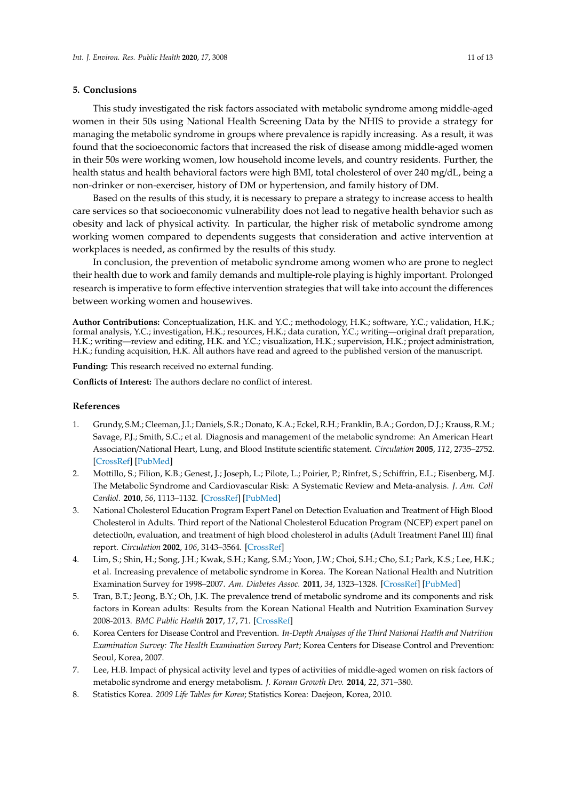# **5. Conclusions**

This study investigated the risk factors associated with metabolic syndrome among middle-aged women in their 50s using National Health Screening Data by the NHIS to provide a strategy for managing the metabolic syndrome in groups where prevalence is rapidly increasing. As a result, it was found that the socioeconomic factors that increased the risk of disease among middle-aged women in their 50s were working women, low household income levels, and country residents. Further, the health status and health behavioral factors were high BMI, total cholesterol of over 240 mg/dL, being a non-drinker or non-exerciser, history of DM or hypertension, and family history of DM.

Based on the results of this study, it is necessary to prepare a strategy to increase access to health care services so that socioeconomic vulnerability does not lead to negative health behavior such as obesity and lack of physical activity. In particular, the higher risk of metabolic syndrome among working women compared to dependents suggests that consideration and active intervention at workplaces is needed, as confirmed by the results of this study.

In conclusion, the prevention of metabolic syndrome among women who are prone to neglect their health due to work and family demands and multiple-role playing is highly important. Prolonged research is imperative to form effective intervention strategies that will take into account the differences between working women and housewives.

**Author Contributions:** Conceptualization, H.K. and Y.C.; methodology, H.K.; software, Y.C.; validation, H.K.; formal analysis, Y.C.; investigation, H.K.; resources, H.K.; data curation, Y.C.; writing—original draft preparation, H.K.; writing—review and editing, H.K. and Y.C.; visualization, H.K.; supervision, H.K.; project administration, H.K.; funding acquisition, H.K. All authors have read and agreed to the published version of the manuscript.

**Funding:** This research received no external funding.

**Conflicts of Interest:** The authors declare no conflict of interest.

#### **References**

- <span id="page-10-0"></span>1. Grundy, S.M.; Cleeman, J.I.; Daniels, S.R.; Donato, K.A.; Eckel, R.H.; Franklin, B.A.; Gordon, D.J.; Krauss, R.M.; Savage, P.J.; Smith, S.C.; et al. Diagnosis and management of the metabolic syndrome: An American Heart Association/National Heart, Lung, and Blood Institute scientific statement. *Circulation* **2005**, *112*, 2735–2752. [\[CrossRef\]](http://dx.doi.org/10.1161/CIRCULATIONAHA.105.169404) [\[PubMed\]](http://www.ncbi.nlm.nih.gov/pubmed/16157765)
- <span id="page-10-1"></span>2. Mottillo, S.; Filion, K.B.; Genest, J.; Joseph, L.; Pilote, L.; Poirier, P.; Rinfret, S.; Schiffrin, E.L.; Eisenberg, M.J. The Metabolic Syndrome and Cardiovascular Risk: A Systematic Review and Meta-analysis. *J. Am. Coll Cardiol.* **2010**, *56*, 1113–1132. [\[CrossRef\]](http://dx.doi.org/10.1016/j.jacc.2010.05.034) [\[PubMed\]](http://www.ncbi.nlm.nih.gov/pubmed/20863953)
- <span id="page-10-2"></span>3. National Cholesterol Education Program Expert Panel on Detection Evaluation and Treatment of High Blood Cholesterol in Adults. Third report of the National Cholesterol Education Program (NCEP) expert panel on detectio0n, evaluation, and treatment of high blood cholesterol in adults (Adult Treatment Panel III) final report. *Circulation* **2002**, *106*, 3143–3564. [\[CrossRef\]](http://dx.doi.org/10.1161/circ.106.25.3143)
- <span id="page-10-3"></span>4. Lim, S.; Shin, H.; Song, J.H.; Kwak, S.H.; Kang, S.M.; Yoon, J.W.; Choi, S.H.; Cho, S.I.; Park, K.S.; Lee, H.K.; et al. Increasing prevalence of metabolic syndrome in Korea. The Korean National Health and Nutrition Examination Survey for 1998–2007. *Am. Diabetes Assoc.* **2011**, *34*, 1323–1328. [\[CrossRef\]](http://dx.doi.org/10.2337/dc10-2109) [\[PubMed\]](http://www.ncbi.nlm.nih.gov/pubmed/21505206)
- <span id="page-10-4"></span>5. Tran, B.T.; Jeong, B.Y.; Oh, J.K. The prevalence trend of metabolic syndrome and its components and risk factors in Korean adults: Results from the Korean National Health and Nutrition Examination Survey 2008-2013. *BMC Public Health* **2017**, *17*, 71. [\[CrossRef\]](http://dx.doi.org/10.1186/s12889-016-3936-6)
- <span id="page-10-5"></span>6. Korea Centers for Disease Control and Prevention. *In-Depth Analyses of the Third National Health and Nutrition Examination Survey: The Health Examination Survey Part*; Korea Centers for Disease Control and Prevention: Seoul, Korea, 2007.
- <span id="page-10-6"></span>7. Lee, H.B. Impact of physical activity level and types of activities of middle-aged women on risk factors of metabolic syndrome and energy metabolism. *J. Korean Growth Dev.* **2014**, *22*, 371–380.
- <span id="page-10-7"></span>8. Statistics Korea. *2009 Life Tables for Korea*; Statistics Korea: Daejeon, Korea, 2010.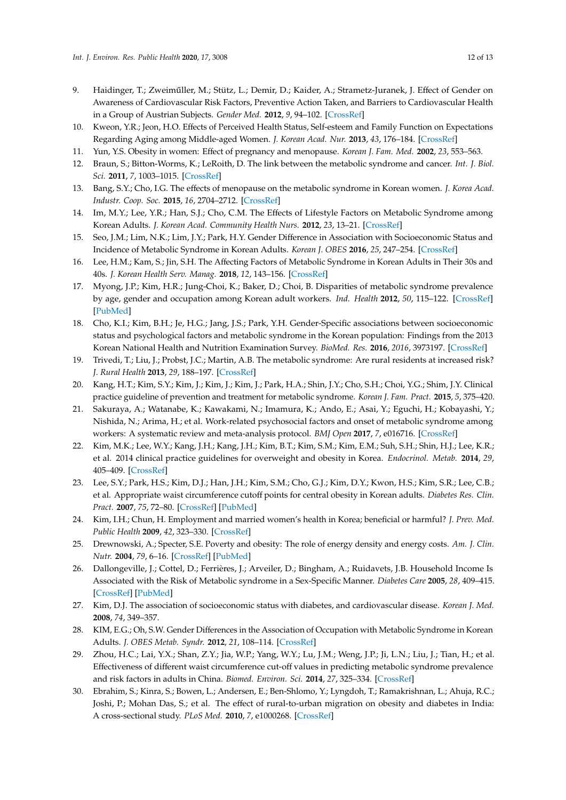- <span id="page-11-0"></span>9. Haidinger, T.; Zweiműller, M.; Stütz, L.; Demir, D.; Kaider, A.; Strametz-Juranek, J. Effect of Gender on Awareness of Cardiovascular Risk Factors, Preventive Action Taken, and Barriers to Cardiovascular Health in a Group of Austrian Subjects. *Gender Med.* **2012**, *9*, 94–102. [\[CrossRef\]](http://dx.doi.org/10.1016/j.genm.2012.02.001)
- <span id="page-11-1"></span>10. Kweon, Y.R.; Jeon, H.O. Effects of Perceived Health Status, Self-esteem and Family Function on Expectations Regarding Aging among Middle-aged Women. *J. Korean Acad. Nur.* **2013**, *43*, 176–184. [\[CrossRef\]](http://dx.doi.org/10.4040/jkan.2013.43.2.176)
- <span id="page-11-2"></span>11. Yun, Y.S. Obesity in women: Effect of pregnancy and menopause. *Korean J. Fam. Med.* **2002**, *23*, 553–563.
- <span id="page-11-3"></span>12. Braun, S.; Bitton-Worms, K.; LeRoith, D. The link between the metabolic syndrome and cancer. *Int. J. Biol. Sci.* **2011**, *7*, 1003–1015. [\[CrossRef\]](http://dx.doi.org/10.7150/ijbs.7.1003)
- <span id="page-11-4"></span>13. Bang, S.Y.; Cho, I.G. The effects of menopause on the metabolic syndrome in Korean women. *J. Korea Acad. Industr. Coop. Soc.* **2015**, *16*, 2704–2712. [\[CrossRef\]](http://dx.doi.org/10.5762/KAIS.2015.16.4.2704)
- <span id="page-11-5"></span>14. Im, M.Y.; Lee, Y.R.; Han, S.J.; Cho, C.M. The Effects of Lifestyle Factors on Metabolic Syndrome among Korean Adults. *J. Korean Acad. Community Health Nurs.* **2012**, *23*, 13–21. [\[CrossRef\]](http://dx.doi.org/10.12799/jkachn.2012.23.1.13)
- <span id="page-11-7"></span>15. Seo, J.M.; Lim, N.K.; Lim, J.Y.; Park, H.Y. Gender Difference in Association with Socioeconomic Status and Incidence of Metabolic Syndrome in Korean Adults. *Korean J. OBES* **2016**, *25*, 247–254. [\[CrossRef\]](http://dx.doi.org/10.7570/kjo.2016.25.4.247)
- <span id="page-11-20"></span>16. Lee, H.M.; Kam, S.; Jin, S.H. The Affecting Factors of Metabolic Syndrome in Korean Adults in Their 30s and 40s. *J. Korean Health Serv. Manag.* **2018**, *12*, 143–156. [\[CrossRef\]](http://dx.doi.org/10.12811/kshsm.2018.12.3.143)
- <span id="page-11-6"></span>17. Myong, J.P.; Kim, H.R.; Jung-Choi, K.; Baker, D.; Choi, B. Disparities of metabolic syndrome prevalence by age, gender and occupation among Korean adult workers. *Ind. Health* **2012**, *50*, 115–122. [\[CrossRef\]](http://dx.doi.org/10.2486/indhealth.MS1328) [\[PubMed\]](http://www.ncbi.nlm.nih.gov/pubmed/22293725)
- <span id="page-11-8"></span>18. Cho, K.I.; Kim, B.H.; Je, H.G.; Jang, J.S.; Park, Y.H. Gender-Specific associations between socioeconomic status and psychological factors and metabolic syndrome in the Korean population: Findings from the 2013 Korean National Health and Nutrition Examination Survey. *BioMed. Res.* **2016**, *2016*, 3973197. [\[CrossRef\]](http://dx.doi.org/10.1155/2016/3973197)
- <span id="page-11-17"></span>19. Trivedi, T.; Liu, J.; Probst, J.C.; Martin, A.B. The metabolic syndrome: Are rural residents at increased risk? *J. Rural Health* **2013**, *29*, 188–197. [\[CrossRef\]](http://dx.doi.org/10.1111/j.1748-0361.2012.00422.x)
- <span id="page-11-21"></span>20. Kang, H.T.; Kim, S.Y.; Kim, J.; Kim, J.; Kim, J.; Park, H.A.; Shin, J.Y.; Cho, S.H.; Choi, Y.G.; Shim, J.Y. Clinical practice guideline of prevention and treatment for metabolic syndrome. *Korean J. Fam. Pract.* **2015**, *5*, 375–420.
- <span id="page-11-9"></span>21. Sakuraya, A.; Watanabe, K.; Kawakami, N.; Imamura, K.; Ando, E.; Asai, Y.; Eguchi, H.; Kobayashi, Y.; Nishida, N.; Arima, H.; et al. Work-related psychosocial factors and onset of metabolic syndrome among workers: A systematic review and meta-analysis protocol. *BMJ Open* **2017**, *7*, e016716. [\[CrossRef\]](http://dx.doi.org/10.1136/bmjopen-2017-016716)
- <span id="page-11-10"></span>22. Kim, M.K.; Lee, W.Y.; Kang, J.H.; Kang, J.H.; Kim, B.T.; Kim, S.M.; Kim, E.M.; Suh, S.H.; Shin, H.J.; Lee, K.R.; et al. 2014 clinical practice guidelines for overweight and obesity in Korea. *Endocrinol. Metab.* **2014**, *29*, 405–409. [\[CrossRef\]](http://dx.doi.org/10.3803/EnM.2014.29.4.405)
- <span id="page-11-11"></span>23. Lee, S.Y.; Park, H.S.; Kim, D.J.; Han, J.H.; Kim, S.M.; Cho, G.J.; Kim, D.Y.; Kwon, H.S.; Kim, S.R.; Lee, C.B.; et al. Appropriate waist circumference cutoff points for central obesity in Korean adults. *Diabetes Res. Clin. Pract.* **2007**, *75*, 72–80. [\[CrossRef\]](http://dx.doi.org/10.1016/j.diabres.2006.04.013) [\[PubMed\]](http://www.ncbi.nlm.nih.gov/pubmed/16735075)
- <span id="page-11-12"></span>24. Kim, I.H.; Chun, H. Employment and married women's health in Korea; beneficial or harmful? *J. Prev. Med. Public Health* **2009**, *42*, 323–330. [\[CrossRef\]](http://dx.doi.org/10.3961/jpmph.2009.42.5.323)
- <span id="page-11-13"></span>25. Drewnowski, A.; Specter, S.E. Poverty and obesity: The role of energy density and energy costs. *Am. J. Clin. Nutr.* **2004**, *79*, 6–16. [\[CrossRef\]](http://dx.doi.org/10.1093/ajcn/79.1.6) [\[PubMed\]](http://www.ncbi.nlm.nih.gov/pubmed/14684391)
- <span id="page-11-14"></span>26. Dallongeville, J.; Cottel, D.; Ferrières, J.; Arveiler, D.; Bingham, A.; Ruidavets, J.B. Household Income Is Associated with the Risk of Metabolic syndrome in a Sex-Specific Manner. *Diabetes Care* **2005**, *28*, 409–415. [\[CrossRef\]](http://dx.doi.org/10.2337/diacare.28.2.409) [\[PubMed\]](http://www.ncbi.nlm.nih.gov/pubmed/15677801)
- <span id="page-11-15"></span>27. Kim, D.J. The association of socioeconomic status with diabetes, and cardiovascular disease. *Korean J. Med.* **2008**, *74*, 349–357.
- <span id="page-11-16"></span>28. KIM, E.G.; Oh, S.W. Gender Differences in the Association of Occupation with Metabolic Syndrome in Korean Adults. *J. OBES Metab. Syndr.* **2012**, *21*, 108–114. [\[CrossRef\]](http://dx.doi.org/10.7570/kjo.2012.21.2.108)
- <span id="page-11-18"></span>29. Zhou, H.C.; Lai, Y.X.; Shan, Z.Y.; Jia, W.P.; Yang, W.Y.; Lu, J.M.; Weng, J.P.; Ji, L.N.; Liu, J.; Tian, H.; et al. Effectiveness of different waist circumference cut-off values in predicting metabolic syndrome prevalence and risk factors in adults in China. *Biomed. Environ. Sci.* **2014**, *27*, 325–334. [\[CrossRef\]](http://dx.doi.org/10.3967/bes2014.057)
- <span id="page-11-19"></span>30. Ebrahim, S.; Kinra, S.; Bowen, L.; Andersen, E.; Ben-Shlomo, Y.; Lyngdoh, T.; Ramakrishnan, L.; Ahuja, R.C.; Joshi, P.; Mohan Das, S.; et al. The effect of rural-to-urban migration on obesity and diabetes in India: A cross-sectional study. *PLoS Med.* **2010**, *7*, e1000268. [\[CrossRef\]](http://dx.doi.org/10.1371/journal.pmed.1000268)